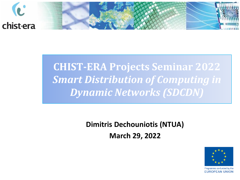

### **CHIST-ERA Projects Seminar 2022** *Smart Distribution of Computing in Dynamic Networks (SDCDN)*

#### **Dimitris Dechouniotis (NTUA) March 29, 2022**

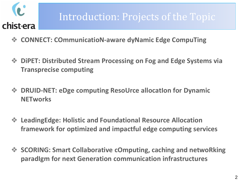

#### Introduction: Projects of the Topic

- ❖ **CONNECT: COmmunicatioN-aware dyNamic Edge CompuTing**
- ❖ **DiPET: Distributed Stream Processing on Fog and Edge Systems via Transprecise computing**
- ❖ **DRUID-NET: eDge computing ResoUrce allocatIon for Dynamic NETworks**
- ❖ **LeadingEdge: Holistic and Foundational Resource Allocation framework for optimized and impactful edge computing services**
- ❖ **SCORING: Smart Collaborative cOmputing, caching and netwoRking paradIgm for next Generation communication infrastructures**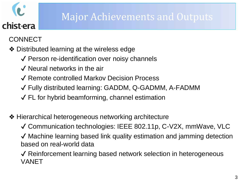### Major Achievements and Outputs

**CONNECT** 

❖ Distributed learning at the wireless edge

- ✔ Person re-identification over noisy channels
- ✔ Neural networks in the air
- ✔ Remote controlled Markov Decision Process
- ✔ Fully distributed learning: GADDM, Q-GADMM, A-FADMM
- $\checkmark$  FL for hybrid beamforming, channel estimation
- ❖ Hierarchical heterogeneous networking architecture

✔ Communication technologies: IEEE 802.11p, C-V2X, mmWave, VLC

✔ Machine learning based link quality estimation and jamming detection based on real-world data

✔ Reinforcement learning based network selection in heterogeneous VANET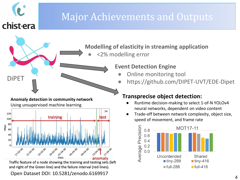#### Major Achievements and Outputs



chist-era

Traffic feature of a node showing the training and testing sets (left and right of the Green line) and the failure interval (red lines).

Open Dataset DOI: 10.5281/zenodo.6169917

#### **Event Detection Engine**

- Online monitoring tool
- https://github.com/DIPET-UVT/EDE-Dipet

#### **Transprecise object detection:**

- Runtime decision-making to select 1-of-N YOLOv4 neural networks, dependent on video content
- Trade-off between network complexity, object size, speed of movement, and frame rate

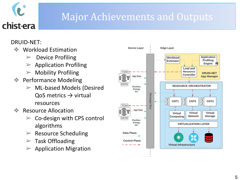### Major Achievements and Outputs

#### DRUID-NET:

- **❖** Workload Estimation
	- $\triangleright$  Device Profiling
	- $\triangleright$  Application Profiling
	- $\triangleright$  Mobility Profiling
- ❖ Performance Modeling
	- $\triangleright$  ML-based Models (Desired QoS metrics  $\rightarrow$  virtual resources
- **<sup>◆</sup> Resource Allocation** 
	- $\triangleright$  Co-design with CPS control algorithms
	- $\triangleright$  Resource Scheduling
	- $\triangleright$  Task Offloading
	- $\triangleright$  Application Migration

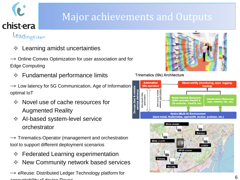### Major achievements and Outputs

LeadingEdge

- Learning amidst uncertainties
- $\rightarrow$  Online Convex Optimization for user association and for Edge Computing
	- ❖ Fundamental performance limits
- $\rightarrow$  Low latency for 5G Communication, Age of Information optimal IoT
	- ❖ Novel use of cache resources for Augmented Reality
	- ❖ AI-based system-level service orchestrator
- $\rightarrow$  Trirematics-Operator (management and orchestration tool to support different deployment scenarios
	- ❖ Federated Learning experimentation
	- ❖ New Community network based services

 $\rightarrow$  eReuse: Distributed Ledger Technology platform for accountability of dovice Reuse 6 and 1997.



Trirematics (t9s) Architecture



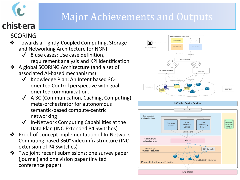### Major Achievements and Outputs

#### chist-era SCORING

- ❖ Towards a Tightly-Coupled Computing, Storage and Networking Architecture for NGNI
	- $\sqrt{8}$  use cases: Use case definition, requirement analysis and KPI identification
- ❖ A global SCORING Architecture (and a set of associated AI-based mechanisms)
	- ✔ Knowledge Plan: An Intent based 3Coriented Control perspective with goaloriented communication.
	- ✔ A 3C (Communication, Caching, Computing) meta-orchestrator for autonomous semantic-based compute-centric networking
	- ✔ In-Network Computing Capabilities at the Data Plan (INC-Extended P4 Switches)
- ❖ Proof-of-concept implementation of In-Network Computing based 360° video infrastructure (INC extension of P4 Switches)
- ❖ Two joint recent submissions: one survey paper (journal) and one vision paper (invited conference paper)



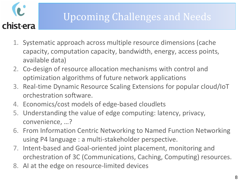

- 1. Systematic approach across multiple resource dimensions (cache capacity, computation capacity, bandwidth, energy, access points, available data)
- 2. Co-design of resource allocation mechanisms with control and optimization algorithms of future network applications
- 3. Real-time Dynamic Resource Scaling Extensions for popular cloud/IoT orchestration software.
- 4. Economics/cost models of edge-based cloudlets
- 5. Understanding the value of edge computing: latency, privacy, convenience, …?
- 6. From Information Centric Networking to Named Function Networking using P4 language : a multi-stakeholder perspective.
- 7. Intent-based and Goal-oriented joint placement, monitoring and orchestration of 3C (Communications, Caching, Computing) resources.
- 8. AI at the edge on resource-limited devices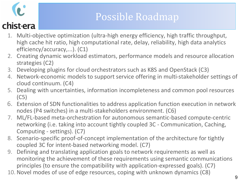#### Possible Roadmap

- 1. Multi-objective optimization (ultra-high energy efficiency, high traffic throughput, high cache hit ratio, high computational rate, delay, reliability, high data analytics efficiency/accuracy,...). (C1)
- 2. Creating dynamic workload estimators, performance models and resource allocation strategies (C2)
- 3. Developing plugins for cloud orchestrators such as K8S and OpenStack (C3)
- 4. Network-economic models to support service offering in multi-stakeholder settings of cloud continuum. (C4)
- 5. Dealing with uncertainties, information incompleteness and common pool resources (C5)
- 6. Extension of SDN functionalities to address application function execution in network nodes (P4 switches) in a multi-stakeholders environment. (C6)
- 7. ML/FL-based meta-orchestration for autonomous semantic-based compute-centric networking (i.e. taking into account tightly coupled 3C - Communication, Caching, Computing - settings). (C7)
- 8. Scenario-specific proof-of-concept implementation of the architecture for tightly coupled 3C for intent-based networking model. (C7)
- 9. Defining and translating application goals to network requirements as well as monitoring the achievement of these requirements using semantic communications principles (to ensure the compatibility with application-expressed goals). (C7)
- 10. Novel modes of use of edge resources, coping with unknown dynamics (C8)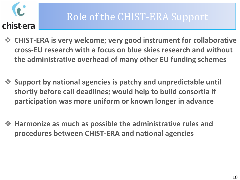

- ❖ **CHIST-ERA is very welcome; very good instrument for collaborative cross-EU research with a focus on blue skies research and without the administrative overhead of many other EU funding schemes**
- ❖ **Support by national agencies is patchy and unpredictable until shortly before call deadlines; would help to build consortia if participation was more uniform or known longer in advance**
- ❖ **Harmonize as much as possible the administrative rules and procedures between CHIST-ERA and national agencies**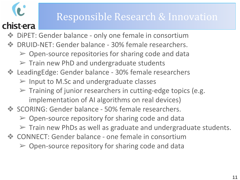### Responsible Research & Innovation

#### chist-era

- ❖ DiPET: Gender balance only one female in consortium
- ❖ DRUID-NET: Gender balance 30% female researchers.
	- $\triangleright$  Open-source repositories for sharing code and data
	- $\triangleright$  Train new PhD and undergraduate students
- ❖ LeadingEdge: Gender balance 30% female researchers
	- $\triangleright$  Input to M.Sc and undergraduate classes
	- $\triangleright$  Training of junior researchers in cutting-edge topics (e.g. implementation of AI algorithms on real devices)
- ❖ SCORING: Gender balance 50% female researchers.
	- $\triangleright$  Open-source repository for sharing code and data
	- $\triangleright$  Train new PhDs as well as graduate and undergraduate students.
- ❖ CONNECT: Gender balance one female in consortium
	- $\triangleright$  Open-source repository for sharing code and data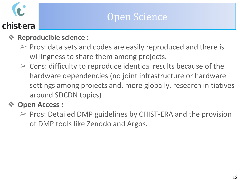#### Open Science

- ❖ **Reproducible science :**
	- $\triangleright$  Pros: data sets and codes are easily reproduced and there is willingness to share them among projects.
	- $\triangleright$  Cons: difficulty to reproduce identical results because of the hardware dependencies (no joint infrastructure or hardware settings among projects and, more globally, research initiatives around SDCDN topics)

#### ❖ **Open Access :**

 $\triangleright$  Pros: Detailed DMP guidelines by CHIST-ERA and the provision of DMP tools like Zenodo and Argos.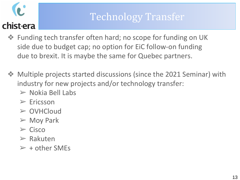### Technology Transfer

- ❖ Funding tech transfer often hard; no scope for funding on UK side due to budget cap; no option for EiC follow-on funding due to brexit. It is maybe the same for Quebec partners.
- ❖ Multiple projects started discussions (since the 2021 Seminar) with industry for new projects and/or technology transfer:
	- $\triangleright$  Nokia Bell Labs
	- $\triangleright$  Ericsson
	- ➢ OVHCloud
	- $\triangleright$  Moy Park
	- $\triangleright$  Cisco
	- $\triangleright$  Rakuten
	- $\triangleright$  + other SMEs